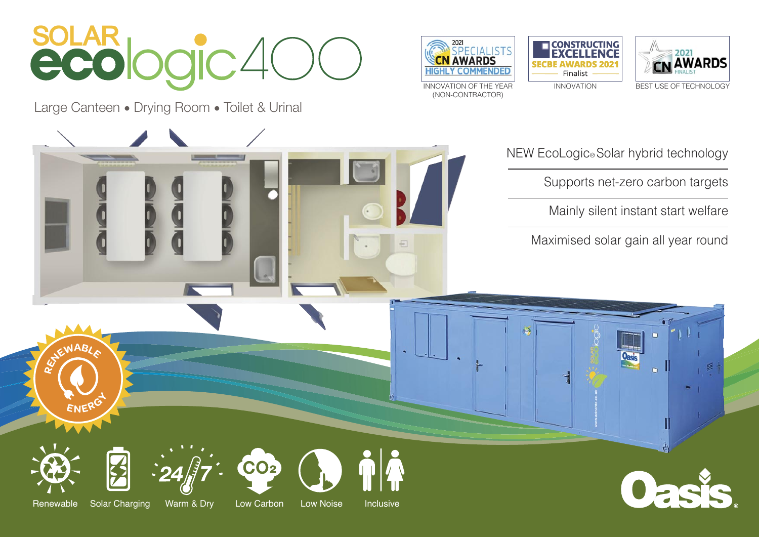

Large Canteen • Drying Room • Toilet & Urinal







(NON-CONTRACTOR)

NEW EcoLogic® Solar hybrid technology

Supports net-zero carbon targets

Mainly silent instant start welfare

Maximised solar gain all year round

 $R$ 

**<sup>E</sup>NERG<sup>Y</sup>**

Renewable Solar Charging Warm & Dry Low Carbon Low Noise Inclusive

CO<sub>2</sub>

 $\overline{E}$ 

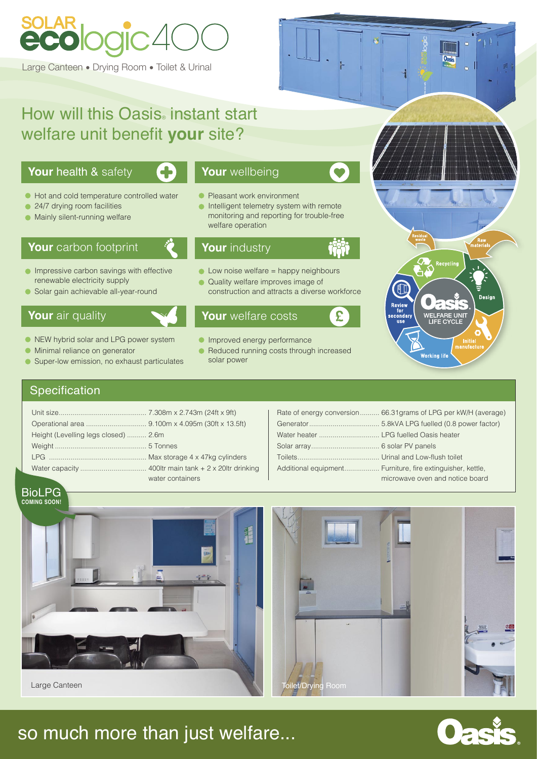# so much more than just welfare...



| Height (Levelling legs closed)  2.6m |                  |
|--------------------------------------|------------------|
|                                      |                  |
|                                      |                  |
|                                      |                  |
|                                      | water containers |

# How will this Oasis instant start welfare unit benefit **your** site?

- 
- NEW hybrid solar and LPG power system
- **Minimal reliance on generator**
- Super-low emission, no exhaust particulates  $\bullet$

|                                        | Rate of energy conversion 66.31 grams of LPG per kW/H (average) |
|----------------------------------------|-----------------------------------------------------------------|
|                                        |                                                                 |
| Water heater  LPG fuelled Oasis heater |                                                                 |
|                                        |                                                                 |
|                                        |                                                                 |
|                                        | Additional equipment Furniture, fire extinguisher, kettle,      |
|                                        | microwave oven and notice board                                 |
|                                        |                                                                 |

- **Pleasant work environment**
- **Intelligent telemetry system with remote**  monitoring and reporting for trouble-free welfare operation

- $\bullet$  Low noise welfare = happy neighbours
- Quality welfare improves image of construction and attracts a diverse workforce

- **Improved energy performance**
- Reduced running costs through increased solar power

Recycling Design Review<br>for<br>secondary WELFARE UNIT<br>LIFE CYCLE use **Initial**<br>manufactu **Working life** 

# **Specification**



BioLPG



# LAR<br>COLOGIC<sup>40</sup>

Large Canteen • Drying Room • Toilet & Urinal

### **Your** health & safety



- $\bullet$  Hot and cold temperature controlled water
- 24/7 drying room facilities  $\bullet$
- **Mainly silent-running welfare**

# **Your** carbon footprint

- **Impressive carbon savings with effective** renewable electricity supply
- Solar gain achievable all-year-round

### **Your** air quality

# **Your** wellbeing

# **Your** welfare costs

# **Your** industry